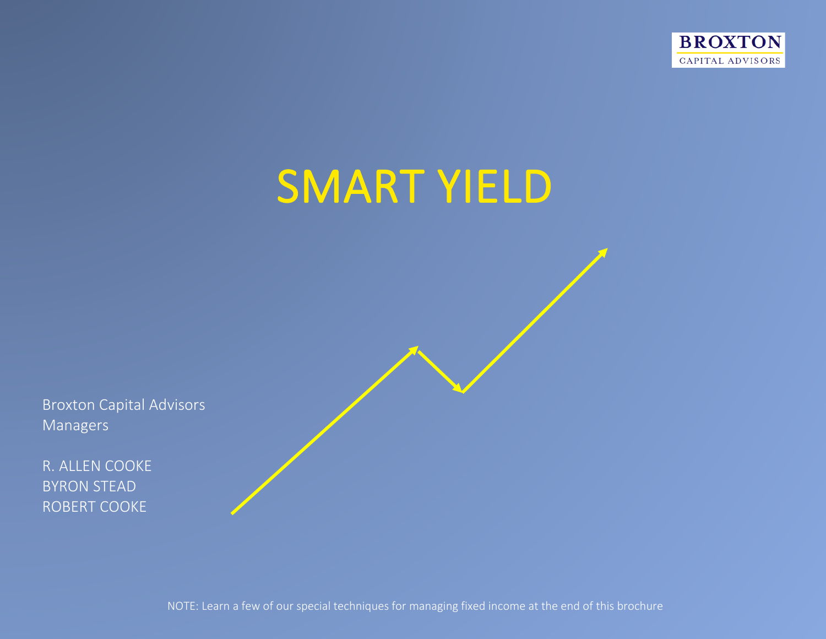



Broxton Capital Advisors Managers

R. ALLEN COOKE BYRON STEAD ROBERT COOKE

NOTE: Learn a few of our special techniques for managing fixed income at the end of this brochure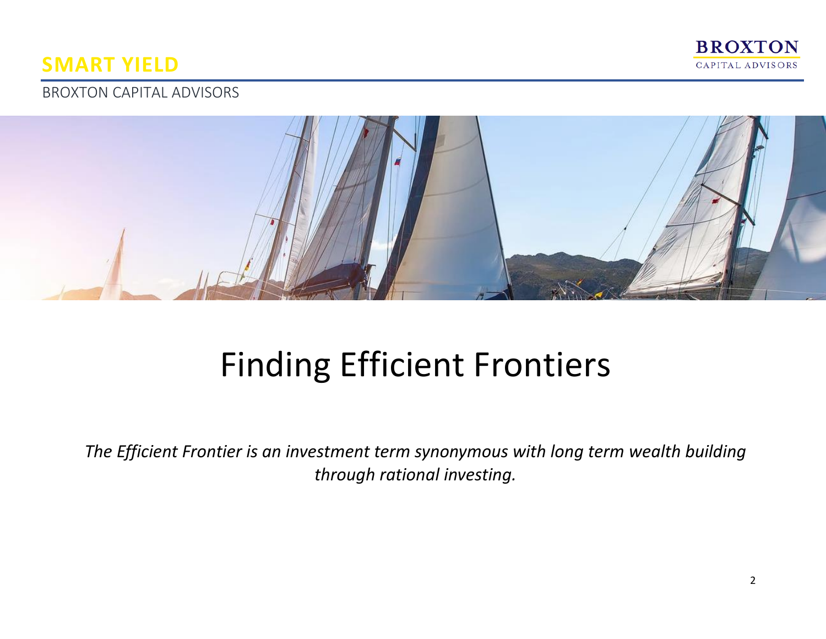

# BROXTON CAPITAL ADVISORS



# Finding Efficient Frontiers

*The Efficient Frontier is an investment term synonymous with long term wealth building through rational investing.*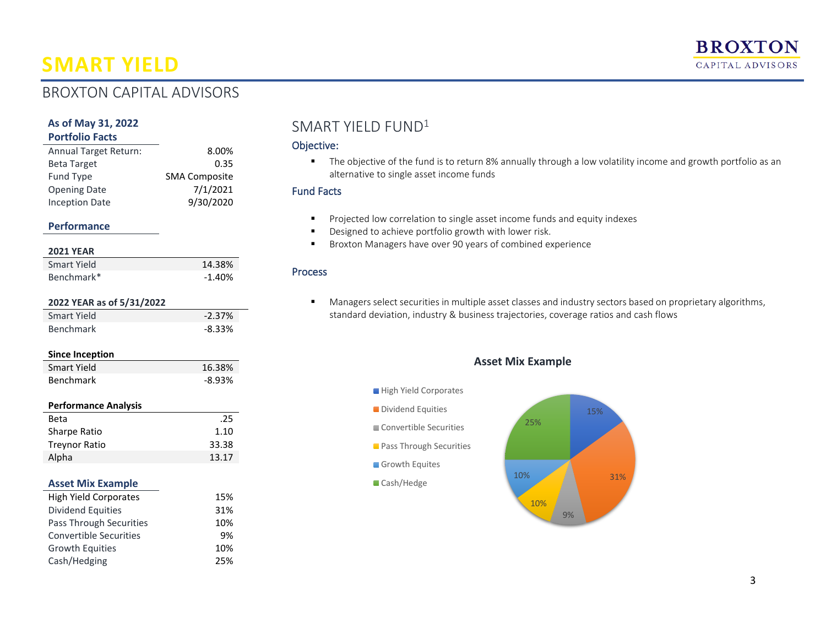## BROXTON CAPITAL ADVISORS

#### **As of May 31, 2022 Portfolio Facts**

| Annual Target Return: | 8.00%                |
|-----------------------|----------------------|
| <b>Beta Target</b>    | 0.35                 |
| Fund Type             | <b>SMA Composite</b> |
| <b>Opening Date</b>   | 7/1/2021             |
| <b>Inception Date</b> | 9/30/2020            |

#### **Performance**

| <b>2021 YEAR</b>              |          |
|-------------------------------|----------|
| <b>Smart Yield</b>            | 14.38%   |
| Benchmark*                    | $-1.40%$ |
| 2022 YEAR as of 5/31/2022     |          |
| <b>Smart Yield</b>            | $-2.37%$ |
| Benchmark                     | $-8.33%$ |
| <b>Since Inception</b>        |          |
| <b>Smart Yield</b>            | 16.38%   |
| Benchmark                     | $-8.93%$ |
|                               |          |
| <b>Performance Analysis</b>   |          |
| <b>Beta</b>                   | .25      |
| <b>Sharpe Ratio</b>           | 1.10     |
| <b>Treynor Ratio</b>          | 33.38    |
| Alpha                         | 13.17    |
|                               |          |
| <b>Asset Mix Example</b>      |          |
| <b>High Yield Corporates</b>  | 15%      |
| <b>Dividend Equities</b>      | 31%      |
| Pass Through Securities       | 10%      |
| <b>Convertible Securities</b> | 9%       |
| Growth Equities               | 10%      |
| Cash/Hedging                  | 25%      |
|                               |          |

### SMART YIELD FUND<sup>1</sup>

#### Objective:

■ The objective of the fund is to return 8% annually through a low volatility income and growth portfolio as an alternative to single asset income funds

#### Fund Facts

- Projected low correlation to single asset income funds and equity indexes
- Designed to achieve portfolio growth with lower risk.
- Broxton Managers have over 90 years of combined experience

#### Process

**■** Managers select securities in multiple asset classes and industry sectors based on proprietary algorithms, standard deviation, industry & business trajectories, coverage ratios and cash flows

#### **Asset Mix Example**



3

**BROXTON** CAPITAL ADVISORS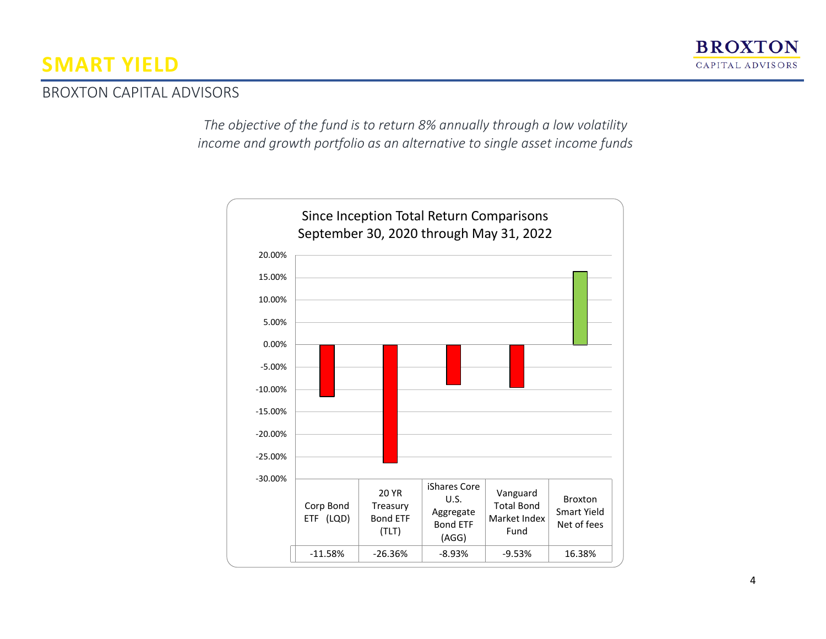

### BROXTON CAPITAL ADVISORS

*The objective of the fund is to return 8% annually through a low volatility income and growth portfolio as an alternative to single asset income funds*

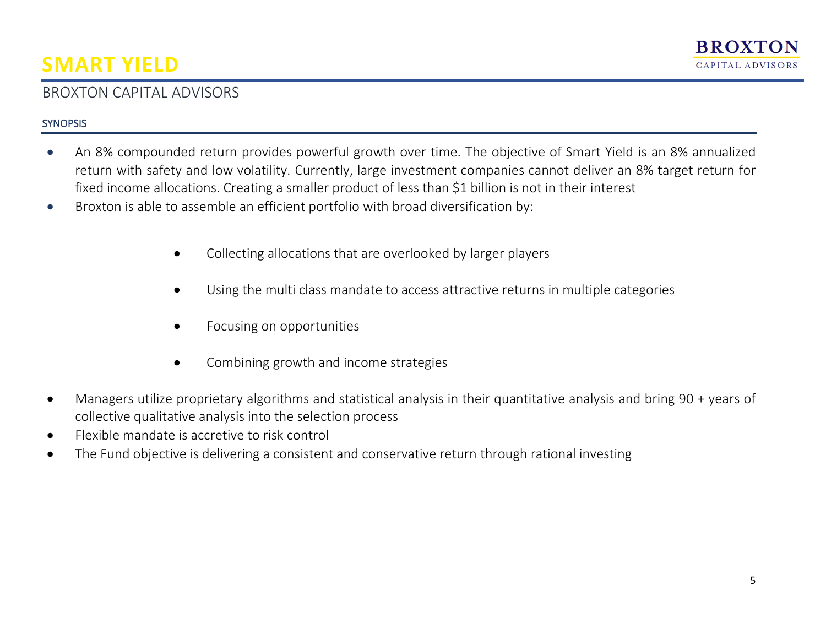## BROXTON CAPITAL ADVISORS

#### **SYNOPSIS**

- An 8% compounded return provides powerful growth over time. The objective of Smart Yield is an 8% annualized return with safety and low volatility. Currently, large investment companies cannot deliver an 8% target return for fixed income allocations. Creating a smaller product of less than \$1 billion is not in their interest
- Broxton is able to assemble an efficient portfolio with broad diversification by:
	- Collecting allocations that are overlooked by larger players
	- Using the multi class mandate to access attractive returns in multiple categories
	- Focusing on opportunities
	- Combining growth and income strategies
- Managers utilize proprietary algorithms and statistical analysis in their quantitative analysis and bring 90 + years of collective qualitative analysis into the selection process
- Flexible mandate is accretive to risk control
- The Fund objective is delivering a consistent and conservative return through rational investing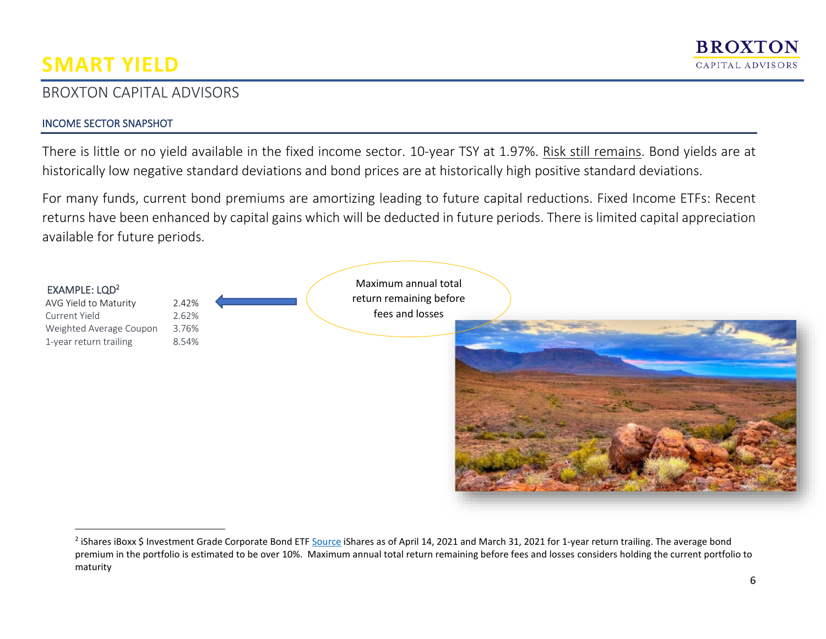## BROXTON CAPITAL ADVISORS

#### INCOME SECTOR SNAPSHOT

There is little or no yield available in the fixed income sector. 10-year TSY at 1.97%. Risk still remains. Bond yields are at historically low negative standard deviations and bond prices are at historically high positive standard deviations.

For many funds, current bond premiums are amortizing leading to future capital reductions. Fixed Income ETFs: Recent returns have been enhanced by capital gains which will be deducted in future periods. There is limited capital appreciation available for future periods.



<sup>&</sup>lt;sup>2</sup> iShares iBoxx \$ Investment Grade Corporate Bond ETF [Source](https://www.ishares.com/us/products/239566/ishares-iboxx-investment-grade-corporate-bond-etf) iShares as of April 14, 2021 and March 31, 2021 for 1-year return trailing. The average bond premium in the portfolio is estimated to be over 10%. Maximum annual total return remaining before fees and losses considers holding the current portfolio to maturity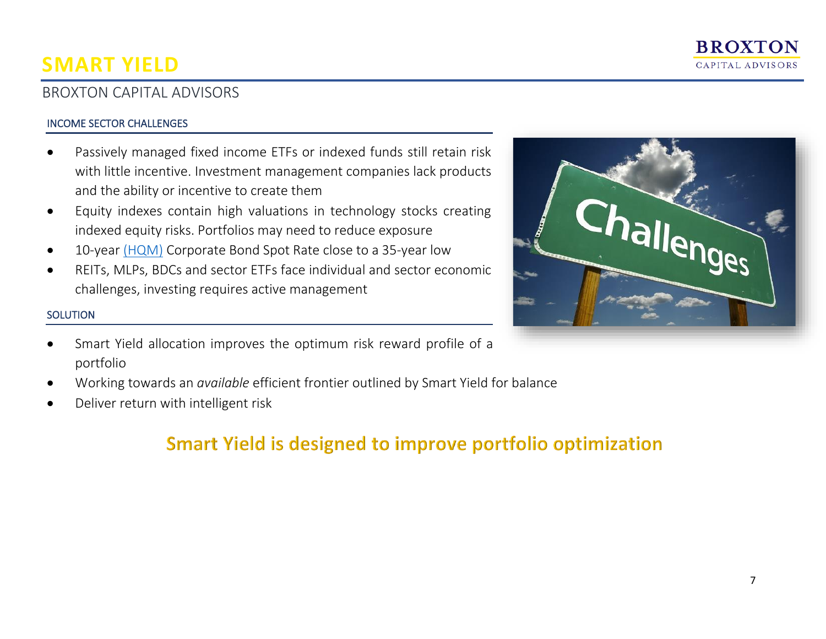

## BROXTON CAPITAL ADVISORS

#### INCOME SECTOR CHALLENGES

- Passively managed fixed income ETFs or indexed funds still retain risk with little incentive. Investment management companies lack products and the ability or incentive to create them
- Equity indexes contain high valuations in technology stocks creating indexed equity risks. Portfolios may need to reduce exposure
- 10-year [\(HQM\)](https://fred.stlouisfed.org/series/HQMCB10YR) Corporate Bond Spot Rate close to a 35-year low
- REITs, MLPs, BDCs and sector ETFs face individual and sector economic challenges, investing requires active management

#### **SOLUTION**

- Smart Yield allocation improves the optimum risk reward profile of a portfolio
- Working towards an *available* efficient frontier outlined by Smart Yield for balance
- Deliver return with intelligent risk

# **Smart Yield is designed to improve portfolio optimization**

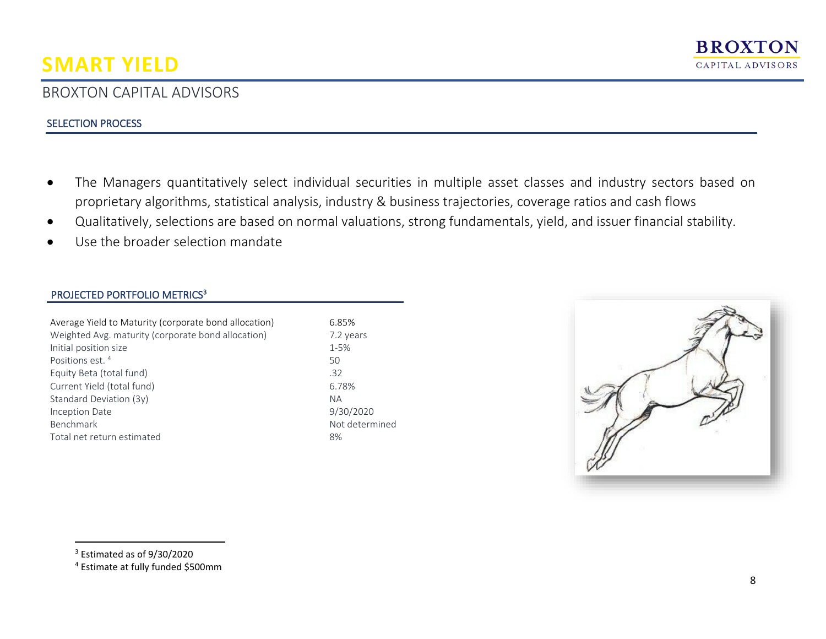## BROXTON CAPITAL ADVISORS

#### SELECTION PROCESS

- The Managers quantitatively select individual securities in multiple asset classes and industry sectors based on proprietary algorithms, statistical analysis, industry & business trajectories, coverage ratios and cash flows
- Qualitatively, selections are based on normal valuations, strong fundamentals, yield, and issuer financial stability.
- Use the broader selection mandate

#### PROJECTED PORTFOLIO METRICS<sup>3</sup>

| Average Yield to Maturity (corporate bond allocation) | 6.85%     |
|-------------------------------------------------------|-----------|
|                                                       |           |
| Weighted Avg. maturity (corporate bond allocation)    | 7.2 ye    |
| Initial position size                                 | $1 - 5%$  |
| Positions est. <sup>4</sup>                           | 50        |
| Equity Beta (total fund)                              | .32       |
| Current Yield (total fund)                            | 6.78%     |
| Standard Deviation (3y)                               | <b>NA</b> |
| Inception Date                                        | 9/30/2    |
| Benchmark                                             | Not de    |
| Total net return estimated                            | 8%        |
|                                                       |           |

7.2 years 9/30/2020 Not determined



<sup>3</sup> Estimated as of 9/30/2020

<sup>4</sup> Estimate at fully funded \$500mm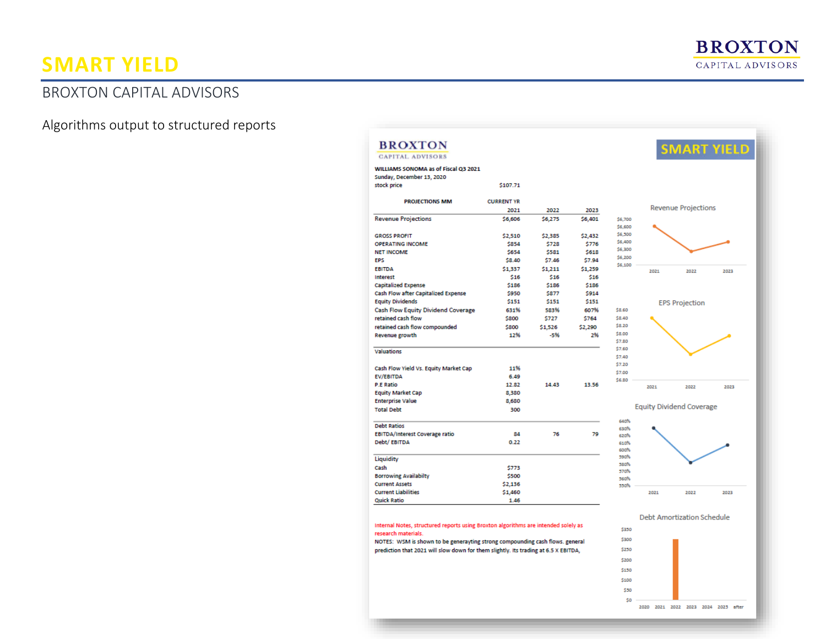# BROXTON CAPITAL ADVISORS

Algorithms output to structured reports

| <b>CAPITAL ADVISORS</b>                                                             |                   |         |         |                    |                                 | <b>SMART YIELD</b>         |      |
|-------------------------------------------------------------------------------------|-------------------|---------|---------|--------------------|---------------------------------|----------------------------|------|
| WILLIAMS SONOMA as of Fiscal Q3 2021                                                |                   |         |         |                    |                                 |                            |      |
| Sunday, December 13, 2020                                                           |                   |         |         |                    |                                 |                            |      |
| stock price                                                                         | \$107.71          |         |         |                    |                                 |                            |      |
|                                                                                     |                   |         |         |                    |                                 |                            |      |
| <b>PROJECTIONS MM</b>                                                               | <b>CURRENT YR</b> |         |         |                    |                                 | <b>Revenue Projections</b> |      |
|                                                                                     | 2021              | 2022    | 2023    |                    |                                 |                            |      |
| <b>Revenue Projections</b>                                                          | \$6,606           | \$6,275 | \$6,401 | \$6,700<br>\$6,600 |                                 |                            |      |
| <b>GROSS PROFIT</b>                                                                 | \$2,510           | \$2,385 | \$2,432 | \$6,500            |                                 |                            |      |
| <b>OPERATING INCOME</b>                                                             | \$854             | \$728   | \$776   | \$6,400            |                                 |                            |      |
| <b>NET INCOME</b>                                                                   | \$654             | \$581   | \$618   | \$6,300            |                                 |                            |      |
| <b>EPS</b>                                                                          | \$8,40            | \$7.46  | \$7.94  | \$6,200            |                                 |                            |      |
| <b>EBITDA</b>                                                                       | \$1,337           | \$1.211 | \$1,259 | \$6,100            | 2021                            | 2022                       | 2023 |
| <b>Interest</b>                                                                     | \$16              | \$16    | \$16    |                    |                                 |                            |      |
| <b>Capitalized Expense</b>                                                          | \$186             | \$186   | \$186   |                    |                                 |                            |      |
| Cash Flow after Capitalized Expense                                                 | \$950             | \$877   | \$914   |                    |                                 |                            |      |
| <b>Equity Dividends</b>                                                             | \$151             | \$151   | \$151   |                    |                                 | <b>EPS Projection</b>      |      |
| <b>Cash Flow Equity Dividend Coverage</b>                                           | 631%              | 583%    | 607%    | \$8.60             |                                 |                            |      |
| retained cash flow                                                                  | \$800             | \$727   | \$764   | \$8,40             |                                 |                            |      |
| retained cash flow compounded                                                       | \$800             | \$1,526 | \$2,290 | \$8.20             |                                 |                            |      |
| Revenue growth                                                                      | 12%               | $-5%$   | 2%      | \$8.00             |                                 |                            |      |
|                                                                                     |                   |         |         | \$7.80             |                                 |                            |      |
| <b>Valuations</b>                                                                   |                   |         |         | \$7.60             |                                 |                            |      |
|                                                                                     |                   |         |         | \$7,40             |                                 |                            |      |
| Cash Flow Yield Vs. Equity Market Cap                                               | 11%               |         |         | \$7.20             |                                 |                            |      |
| <b>EV/EBITDA</b>                                                                    | 6.49              |         |         | \$7.00<br>\$6,80   |                                 |                            |      |
| <b>P.E Ratio</b>                                                                    | 12.82             | 14.43   | 13.56   |                    | 2021                            | 2022                       | 2023 |
| <b>Equity Market Cap</b>                                                            | 8,380             |         |         |                    |                                 |                            |      |
| <b>Enterprise Value</b>                                                             | 8,680             |         |         |                    |                                 |                            |      |
| <b>Total Debt</b>                                                                   | 300               |         |         |                    | <b>Equity Dividend Coverage</b> |                            |      |
| <b>Debt Ratios</b>                                                                  |                   |         |         | 640%               |                                 |                            |      |
| <b>EBITDA/Interest Coverage ratio</b>                                               | 84                | 76      | 79      | 630%               |                                 |                            |      |
| Debt/EBITDA                                                                         | 0.22              |         |         | 620%<br>610%       |                                 |                            |      |
|                                                                                     |                   |         |         | sons               |                                 |                            |      |
| Liquidity                                                                           |                   |         |         | 590%               |                                 |                            |      |
| Cash                                                                                | \$773             |         |         | sans.              |                                 |                            |      |
| <b>Borrowing Availabilty</b>                                                        | \$500             |         |         | 570%               |                                 |                            |      |
| <b>Current Assets</b>                                                               | \$2,136           |         |         | <b>NonRo</b>       |                                 |                            |      |
|                                                                                     |                   |         |         | 550%               |                                 |                            | 2023 |
|                                                                                     |                   |         |         |                    |                                 |                            |      |
| <b>Current Liabilities</b><br><b>Quick Ratio</b>                                    | \$1,460<br>1.46   |         |         |                    | 2021                            | 2022                       |      |
|                                                                                     |                   |         |         |                    |                                 |                            |      |
|                                                                                     |                   |         |         |                    |                                 | Debt Amortization Schedule |      |
| Internal Notes, structured reports using Broxton algorithms are intended solely as  |                   |         |         | \$350              |                                 |                            |      |
| research materials.                                                                 |                   |         |         |                    |                                 |                            |      |
| NOTES: WSM is shown to be generayting strong compounding cash flows. general        |                   |         |         | \$300              |                                 |                            |      |
| prediction that 2021 will slow down for them slightly. Its trading at 6.5 X EBITDA, |                   |         |         | \$250              |                                 |                            |      |
|                                                                                     |                   |         |         | \$200              |                                 |                            |      |
|                                                                                     |                   |         |         | \$150              |                                 |                            |      |
|                                                                                     |                   |         |         |                    |                                 |                            |      |
|                                                                                     |                   |         |         | \$100              |                                 |                            |      |

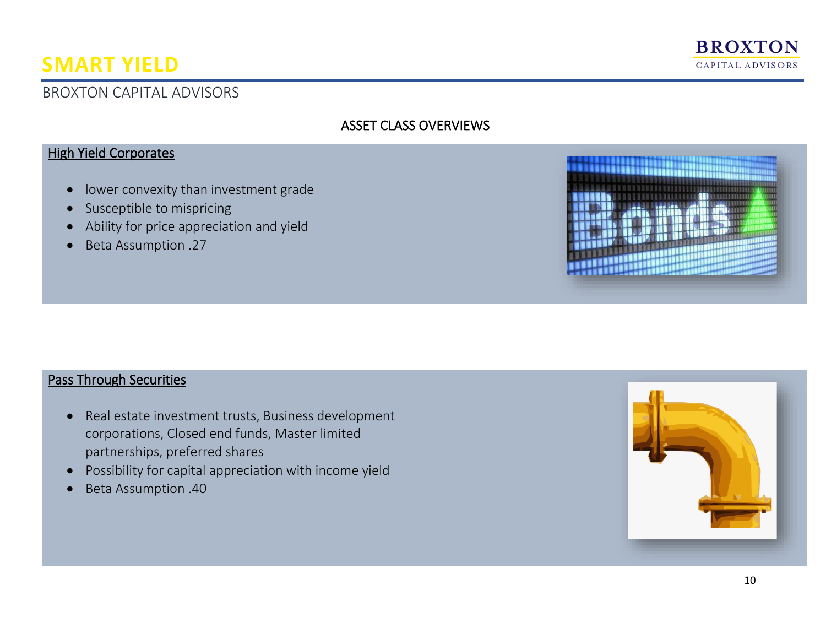

## BROXTON CAPITAL ADVISORS

## ASSET CLASS OVERVIEWS

### **High Yield Corporates**

- lower convexity than investment grade
- Susceptible to mispricing
- Ability for price appreciation and yield
- Beta Assumption .27



#### Pass Through Securities

- Real estate investment trusts, Business development corporations, Closed end funds, Master limited partnerships, preferred shares
- Possibility for capital appreciation with income yield
- Beta Assumption .40

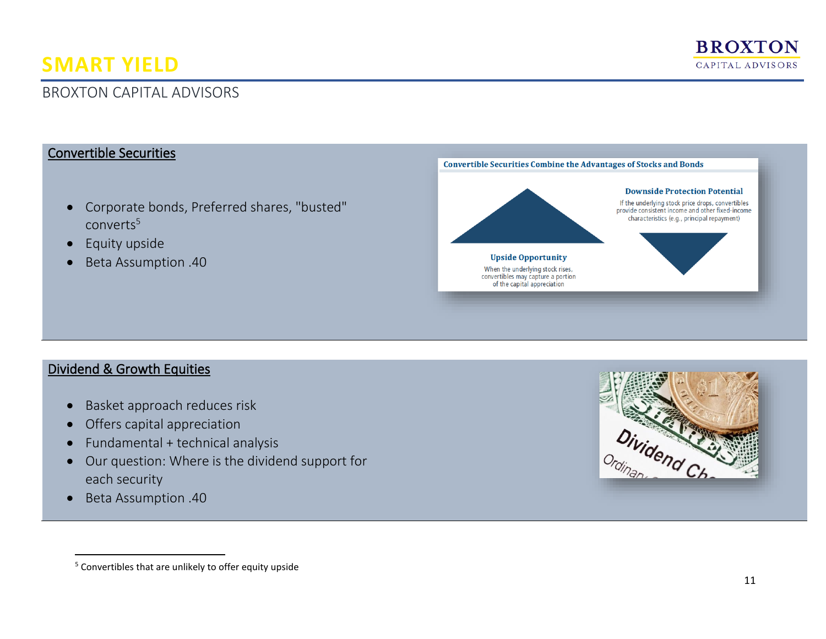

## BROXTON CAPITAL ADVISORS

#### Convertible Securities

- Corporate bonds, Preferred shares, "busted" converts<sup>5</sup>
- Equity upside
- Beta Assumption .40



#### Dividend & Growth Equities

- Basket approach reduces risk
- Offers capital appreciation
- Fundamental + technical analysis
- Our question: Where is the dividend support for each security
- Beta Assumption .40



<sup>&</sup>lt;sup>5</sup> Convertibles that are unlikely to offer equity upside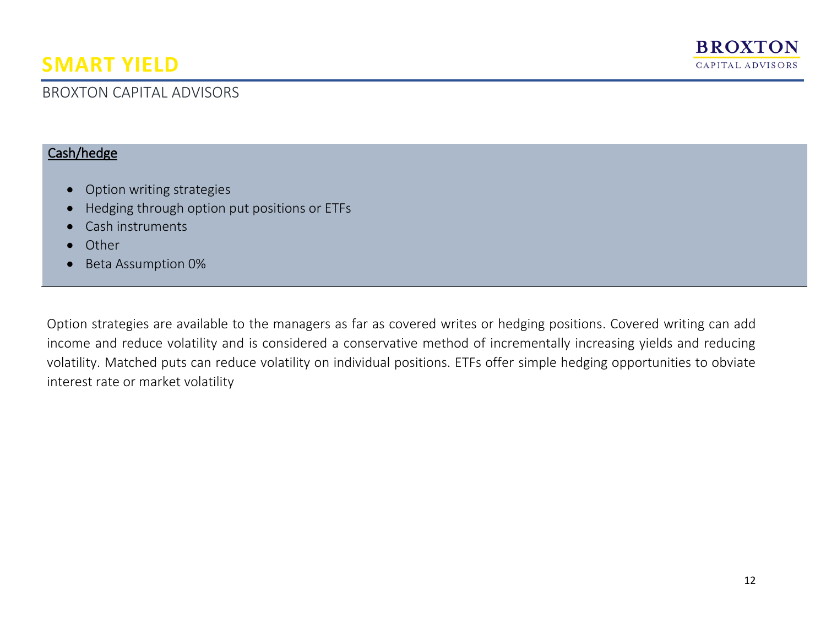## BROXTON CAPITAL ADVISORS

#### Cash/hedge

- Option writing strategies
- Hedging through option put positions or ETFs
- Cash instruments
- Other
- Beta Assumption 0%

Option strategies are available to the managers as far as covered writes or hedging positions. Covered writing can add income and reduce volatility and is considered a conservative method of incrementally increasing yields and reducing volatility. Matched puts can reduce volatility on individual positions. ETFs offer simple hedging opportunities to obviate interest rate or market volatility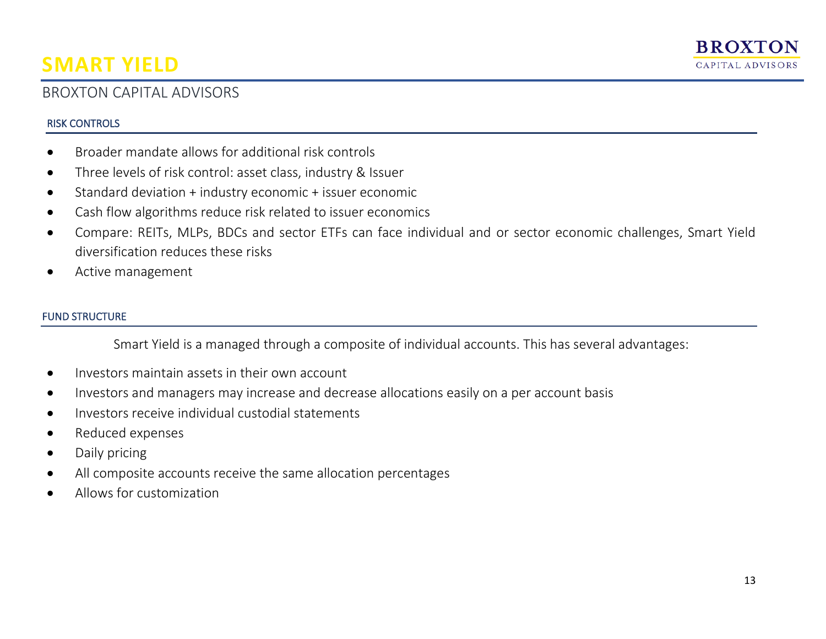## BROXTON CAPITAL ADVISORS

#### RISK CONTROLS

- Broader mandate allows for additional risk controls
- Three levels of risk control: asset class, industry & Issuer
- Standard deviation + industry economic + issuer economic
- Cash flow algorithms reduce risk related to issuer economics
- Compare: REITs, MLPs, BDCs and sector ETFs can face individual and or sector economic challenges, Smart Yield diversification reduces these risks
- Active management

#### FUND STRUCTURE

Smart Yield is a managed through a composite of individual accounts. This has several advantages:

- Investors maintain assets in their own account
- Investors and managers may increase and decrease allocations easily on a per account basis
- Investors receive individual custodial statements
- Reduced expenses
- Daily pricing
- All composite accounts receive the same allocation percentages
- Allows for customization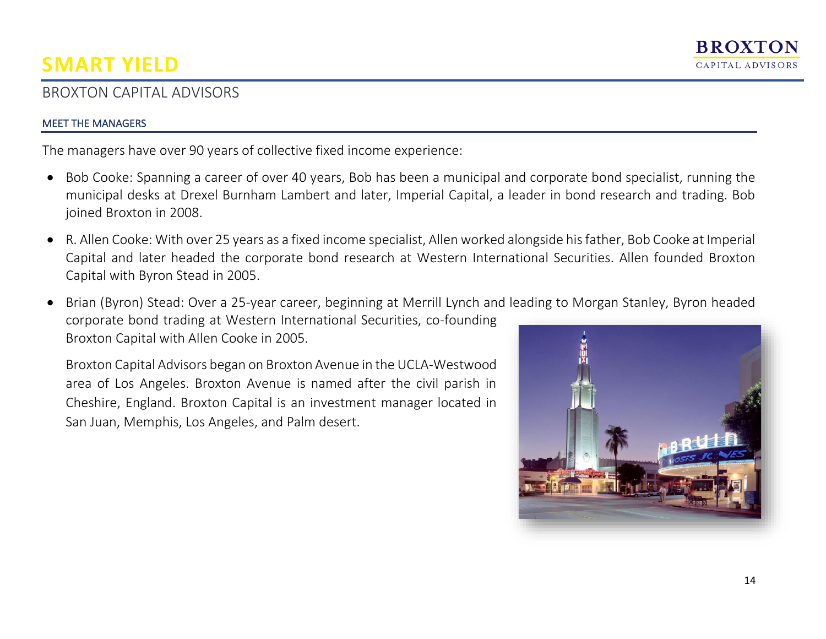## BROXTON CAPITAL ADVISORS

#### MEET THE MANAGERS

The managers have over 90 years of collective fixed income experience:

- Bob Cooke: Spanning a career of over 40 years, Bob has been a municipal and corporate bond specialist, running the municipal desks at Drexel Burnham Lambert and later, Imperial Capital, a leader in bond research and trading. Bob joined Broxton in 2008.
- R. Allen Cooke: With over 25 years as a fixed income specialist, Allen worked alongside his father, Bob Cooke at Imperial Capital and later headed the corporate bond research at Western International Securities. Allen founded Broxton Capital with Byron Stead in 2005.
- Brian (Byron) Stead: Over a 25-year career, beginning at Merrill Lynch and leading to Morgan Stanley, Byron headed corporate bond trading at Western International Securities, co-founding Broxton Capital with Allen Cooke in 2005.

Broxton Capital Advisors began on Broxton Avenue in the UCLA-Westwood area of Los Angeles. Broxton Avenue is named after the civil parish in Cheshire, England. Broxton Capital is an investment manager located in San Juan, Memphis, Los Angeles, and Palm desert.

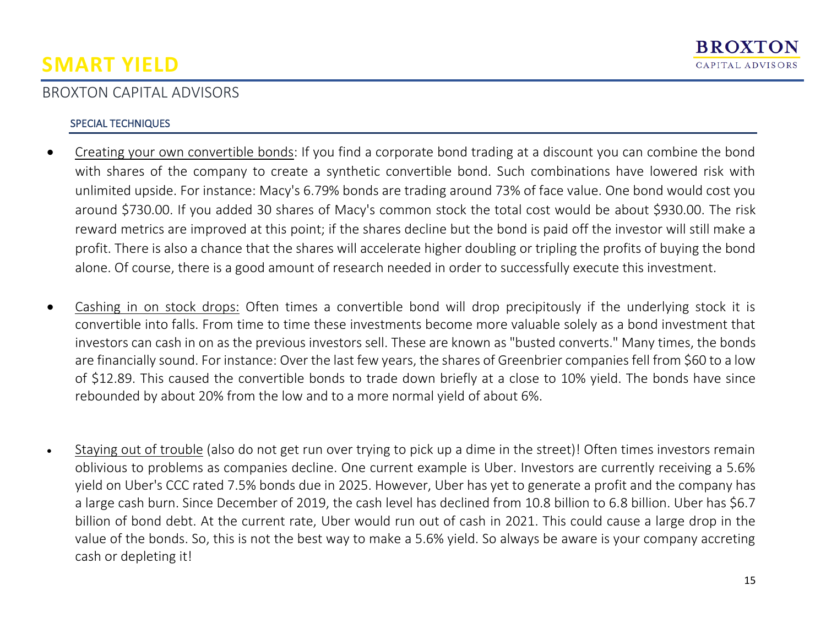## BROXTON CAPITAL ADVISORS

#### SPECIAL TECHNIQUES

- Creating your own convertible bonds: If you find a corporate bond trading at a discount you can combine the bond with shares of the company to create a synthetic convertible bond. Such combinations have lowered risk with unlimited upside. For instance: Macy's 6.79% bonds are trading around 73% of face value. One bond would cost you around \$730.00. If you added 30 shares of Macy's common stock the total cost would be about \$930.00. The risk reward metrics are improved at this point; if the shares decline but the bond is paid off the investor will still make a profit. There is also a chance that the shares will accelerate higher doubling or tripling the profits of buying the bond alone. Of course, there is a good amount of research needed in order to successfully execute this investment.
- Cashing in on stock drops: Often times a convertible bond will drop precipitously if the underlying stock it is convertible into falls. From time to time these investments become more valuable solely as a bond investment that investors can cash in on as the previous investors sell. These are known as "busted converts." Many times, the bonds are financially sound. For instance: Over the last few years, the shares of Greenbrier companies fell from \$60 to a low of \$12.89. This caused the convertible bonds to trade down briefly at a close to 10% yield. The bonds have since rebounded by about 20% from the low and to a more normal yield of about 6%.
- Staying out of trouble (also do not get run over trying to pick up a dime in the street)! Often times investors remain oblivious to problems as companies decline. One current example is Uber. Investors are currently receiving a 5.6% yield on Uber's CCC rated 7.5% bonds due in 2025. However, Uber has yet to generate a profit and the company has a large cash burn. Since December of 2019, the cash level has declined from 10.8 billion to 6.8 billion. Uber has \$6.7 billion of bond debt. At the current rate, Uber would run out of cash in 2021. This could cause a large drop in the value of the bonds. So, this is not the best way to make a 5.6% yield. So always be aware is your company accreting cash or depleting it!